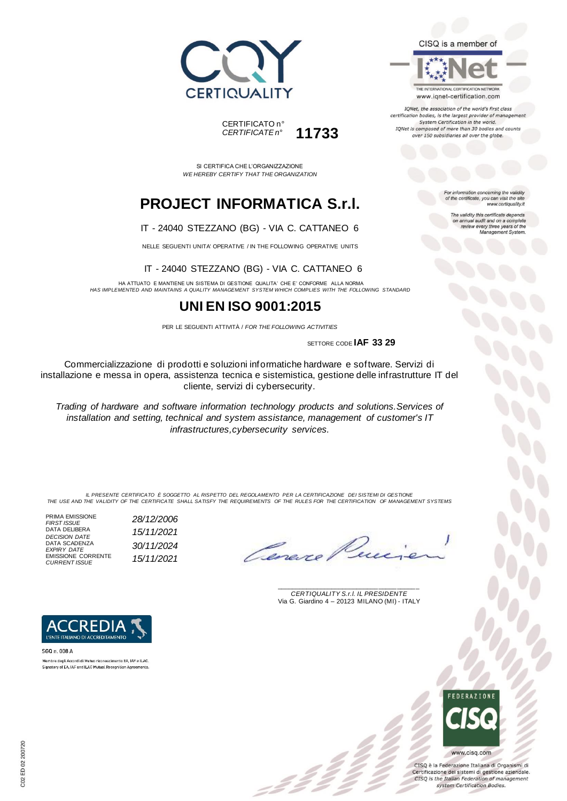



SI CERTIFICA CHE L'ORGANIZZAZIONE *WE HEREBY CERTIFY THAT THE ORGANIZATION*

# **PROJECT INFORMATICA S.r.l.**

### IT - 24040 STEZZANO (BG) - VIA C. CATTANEO 6

NELLE SEGUENTI UNITA' OPERATIVE / IN THE FOLLOWING OPERATIVE UNITS

#### IT - 24040 STEZZANO (BG) - VIA C. CATTANEO 6

HA ATTUATO E MANTIENE UN SISTEMA DI GESTIONE QUALITA' CHE E' CONFORME ALLA NORMA *HAS IMPLEMENTED AND MAINTAINS A QUALITY MANAGEMENT SYSTEM WHICH COMPLIES WITH THE FOLLOWING STANDARD*

## **UNI EN ISO 9001:2015**

PER LE SEGUENTI ATTIVITÀ / *FOR THE FOLLOWING ACTIVITIES*

SETTORE CODE **IAF 33 29**

Commercializzazione di prodotti e soluzioni informatiche hardware e software. Servizi di installazione e messa in opera, assistenza tecnica e sistemistica, gestione delle infrastrutture IT del cliente, servizi di cybersecurity.

*Trading of hardware and software information technology products and solutions.Services of installation and setting, technical and system assistance, management of customer's IT infrastructures,cybersecurity services.*

*IL PRESENTE CERTIFICATO È SOGGETTO AL RISPETTO DEL REGOLAMENTO PER LA CERTIFICAZIONE DEI SISTEMI DI GESTIONE THE USE AND THE VALIDITY OF THE CERTIFICATE SHALL SATISFY THE REQUIREMENTS OF THE RULES FOR THE CERTIFICATION OF MANAGEMENT SYSTEMS*

PRIMA EMISSIONE *FIRST ISSUE 28/12/2006* DATA DELIBERA *DECISION DATE 15/11/2021* DATA SCADENZA *EXPIRY DATE 30/11/2024* EMISSIONE CORRENTE *CURRENT ISSUE 15/11/2021*

L'ENTE ITALIANO DI ACCREDITAMENTO

Membro degli Accordi di Mutuo riconoscimento EA, IAF e ILAC. Signatory of EA, IAF and ILAC Mutual Recognition Agreements

SGQ n. 008 A

\_\_\_\_\_\_\_\_\_\_\_\_\_\_\_\_\_\_\_\_\_\_\_\_\_\_\_\_\_\_\_\_\_\_\_\_\_\_\_ *CERTIQUALITY S.r.l. IL PRESIDENTE* Via G. Giardino 4 – 20123 MILANO (MI) - ITALY



CISQ è la Federazione Italiana di Organismi di Certificazione dei sistemi di gestione aziendale. CISQ is the Italian Federation of management system Certification Bodies.



For information concerning the validity<br>of the certificate, you can visit the site www.certiquality.it

The validity this certificate depends on annual audit and on a complete<br>review every three years of the<br>Management System.

CISQ is a member of



IQNet, the association of the world's first class certification bodies, is the largest provider of management System Certification in the world. IQNet is composed of more than 30 bodies and counts over 150 subsidiaries all over the globe.